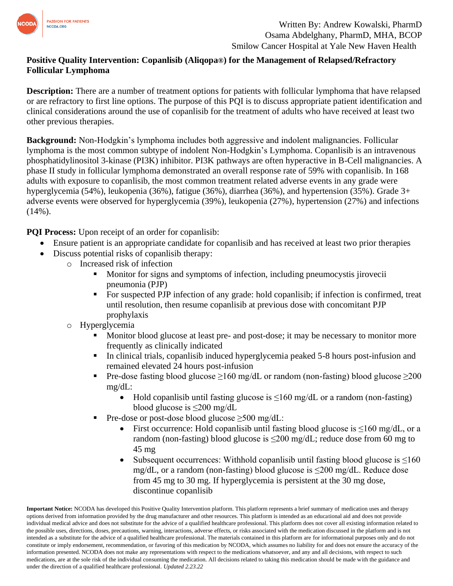

## **Positive Quality Intervention: Copanlisib (Aliqopa®) for the Management of Relapsed/Refractory Follicular Lymphoma**

**Description:** There are a number of treatment options for patients with follicular lymphoma that have relapsed or are refractory to first line options. The purpose of this PQI is to discuss appropriate patient identification and clinical considerations around the use of copanlisib for the treatment of adults who have received at least two other previous therapies.

**Background:** Non-Hodgkin's lymphoma includes both aggressive and indolent malignancies. Follicular lymphoma is the most common subtype of indolent Non-Hodgkin's Lymphoma. Copanlisib is an intravenous phosphatidylinositol 3-kinase (PI3K) inhibitor. PI3K pathways are often hyperactive in B-Cell malignancies. A phase II study in follicular lymphoma demonstrated an overall response rate of 59% with copanlisib. In 168 adults with exposure to copanlisib, the most common treatment related adverse events in any grade were hyperglycemia (54%), leukopenia (36%), fatigue (36%), diarrhea (36%), and hypertension (35%). Grade 3+ adverse events were observed for hyperglycemia (39%), leukopenia (27%), hypertension (27%) and infections  $(14\%)$ .

**PQI Process:** Upon receipt of an order for copanlisib:

- Ensure patient is an appropriate candidate for copanlisib and has received at least two prior therapies
- Discuss potential risks of copanlisib therapy:
	- o Increased risk of infection
		- Monitor for signs and symptoms of infection, including pneumocystis jirovecii pneumonia (PJP)
		- For suspected PJP infection of any grade: hold copanlisib; if infection is confirmed, treat until resolution, then resume copanlisib at previous dose with concomitant PJP prophylaxis
	- o Hyperglycemia
		- Monitor blood glucose at least pre- and post-dose; it may be necessary to monitor more frequently as clinically indicated
		- In clinical trials, copanlisib induced hyperglycemia peaked 5-8 hours post-infusion and remained elevated 24 hours post-infusion
		- Pre-dose fasting blood glucose ≥160 mg/dL or random (non-fasting) blood glucose ≥200 mg/dL:
			- Hold copanlisib until fasting glucose is  $\leq 160$  mg/dL or a random (non-fasting) blood glucose is ≤200 mg/dL
		- Pre-dose or post-dose blood glucose  $\geq$ 500 mg/dL:
			- First occurrence: Hold copanlisib until fasting blood glucose is  $\leq 160$  mg/dL, or a random (non-fasting) blood glucose is  $\leq 200$  mg/dL; reduce dose from 60 mg to 45 mg
			- Subsequent occurrences: Withhold copanlisib until fasting blood glucose is  $\leq 160$ mg/dL, or a random (non-fasting) blood glucose is ≤200 mg/dL. Reduce dose from 45 mg to 30 mg. If hyperglycemia is persistent at the 30 mg dose, discontinue copanlisib

**Important Notice:** NCODA has developed this Positive Quality Intervention platform. This platform represents a brief summary of medication uses and therapy options derived from information provided by the drug manufacturer and other resources. This platform is intended as an educational aid and does not provide individual medical advice and does not substitute for the advice of a qualified healthcare professional. This platform does not cover all existing information related to the possible uses, directions, doses, precautions, warning, interactions, adverse effects, or risks associated with the medication discussed in the platform and is not intended as a substitute for the advice of a qualified healthcare professional. The materials contained in this platform are for informational purposes only and do not constitute or imply endorsement, recommendation, or favoring of this medication by NCODA, which assumes no liability for and does not ensure the accuracy of the information presented. NCODA does not make any representations with respect to the medications whatsoever, and any and all decisions, with respect to such medications, are at the sole risk of the individual consuming the medication. All decisions related to taking this medication should be made with the guidance and under the direction of a qualified healthcare professional. *Updated 2.23.22*